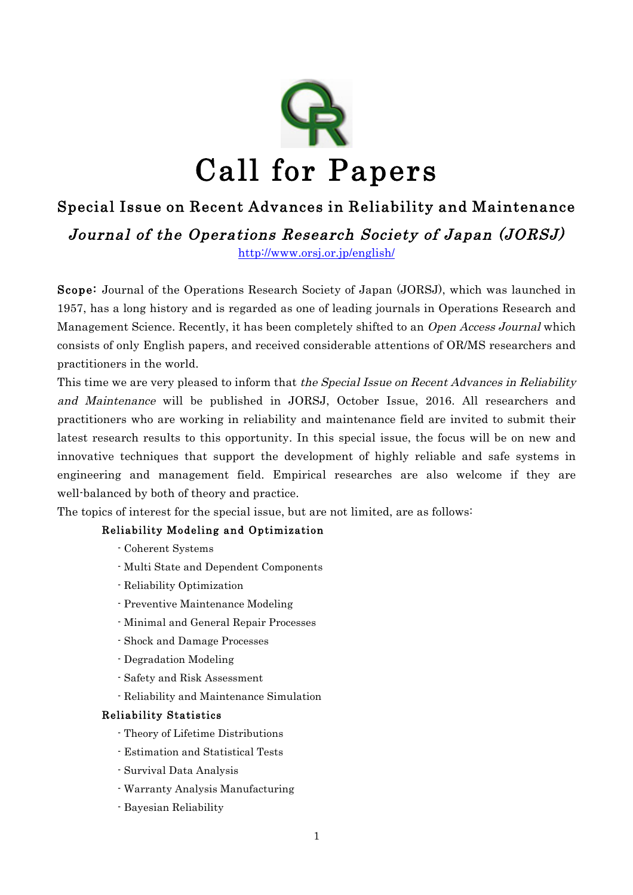

# Special Issue on Recent Advances in Reliability and Maintenance

Journal of the Operations Research Society of Japan (JORSJ)

http://www.orsj.or.jp/english/

Scope: Journal of the Operations Research Society of Japan (JORSJ), which was launched in 1957, has a long history and is regarded as one of leading journals in Operations Research and Management Science. Recently, it has been completely shifted to an Open Access Journal which consists of only English papers, and received considerable attentions of OR/MS researchers and practitioners in the world.

This time we are very pleased to inform that the Special Issue on Recent Advances in Reliability and Maintenance will be published in JORSJ, October Issue, 2016. All researchers and practitioners who are working in reliability and maintenance field are invited to submit their latest research results to this opportunity. In this special issue, the focus will be on new and innovative techniques that support the development of highly reliable and safe systems in engineering and management field. Empirical researches are also welcome if they are well-balanced by both of theory and practice.

The topics of interest for the special issue, but are not limited, are as follows:

## Reliability Modeling and Optimization

- Coherent Systems
- Multi State and Dependent Components
- Reliability Optimization
- Preventive Maintenance Modeling
- Minimal and General Repair Processes
- Shock and Damage Processes
- Degradation Modeling
- Safety and Risk Assessment
- Reliability and Maintenance Simulation

## Reliability Statistics

- Theory of Lifetime Distributions
- Estimation and Statistical Tests
- Survival Data Analysis
- Warranty Analysis Manufacturing
- Bayesian Reliability